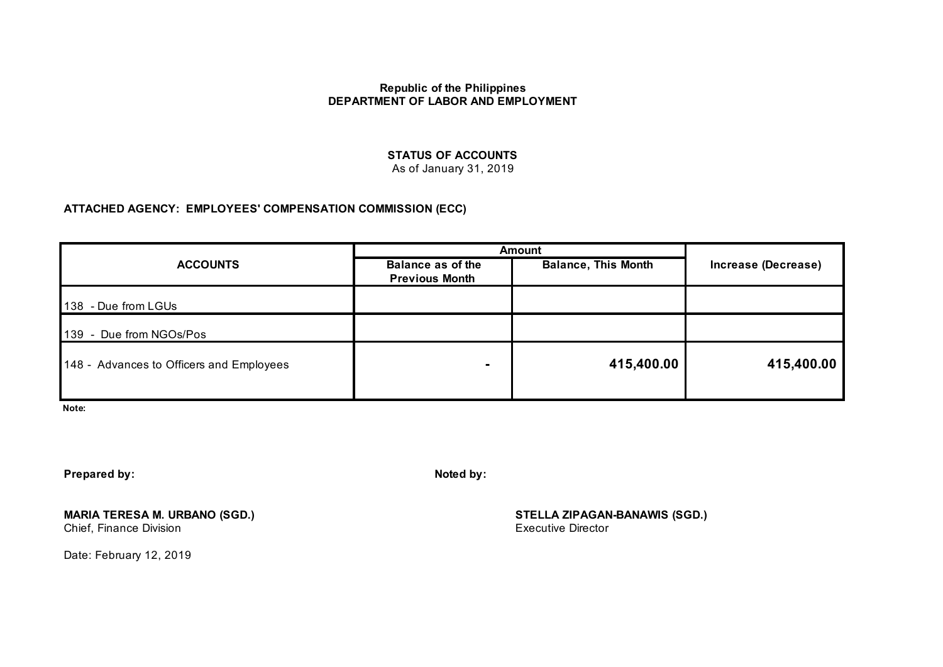# **STATUS OF ACCOUNTS**

As of January 31, 2019

## **ATTACHED AGENCY: EMPLOYEES' COMPENSATION COMMISSION (ECC)**

|                                          | Amount                                            |                            |                     |  |
|------------------------------------------|---------------------------------------------------|----------------------------|---------------------|--|
| <b>ACCOUNTS</b>                          | <b>Balance as of the</b><br><b>Previous Month</b> | <b>Balance, This Month</b> | Increase (Decrease) |  |
| 138 - Due from LGUs                      |                                                   |                            |                     |  |
|                                          |                                                   |                            |                     |  |
| 139 - Due from NGOs/Pos                  |                                                   |                            |                     |  |
| 148 - Advances to Officers and Employees |                                                   | 415,400.00                 | 415,400.00          |  |
|                                          |                                                   |                            |                     |  |

**Note:** 

**Prepared by: Noted by: Noted by: Noted by: Noted by: Noted by:** 

**MARIA TERESA M. URBANO (SGD.) STELLA ZIPAGAN-BANAWIS (SGD.)** Chief, Finance Division

Date: February 12, 2019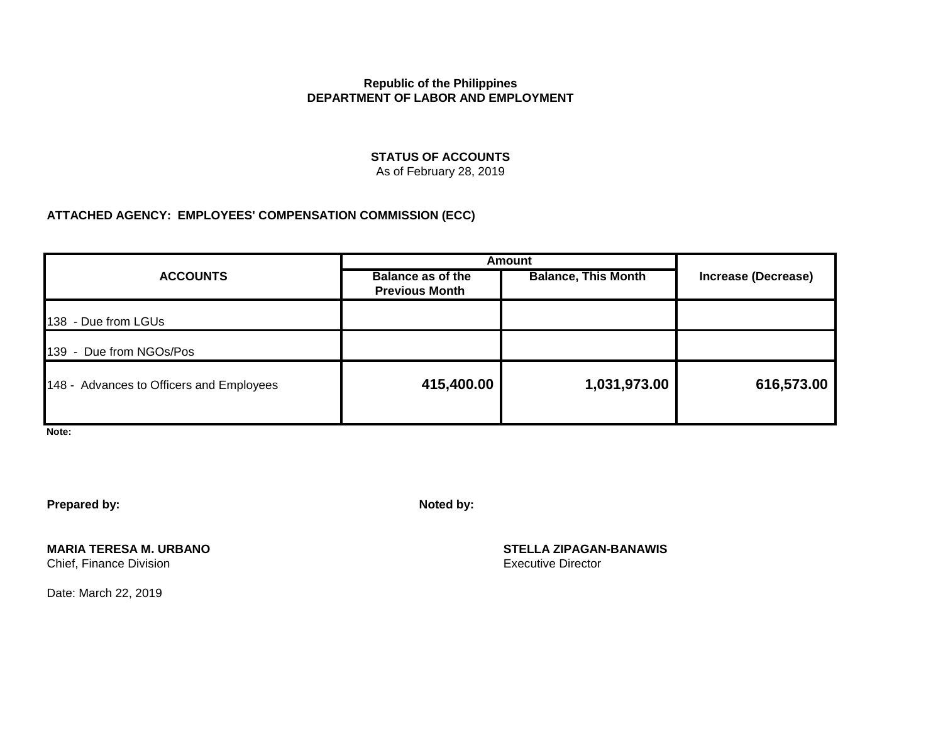# **STATUS OF ACCOUNTS**

As of February 28, 2019

# **ATTACHED AGENCY: EMPLOYEES' COMPENSATION COMMISSION (ECC)**

| <b>ACCOUNTS</b>                          | <b>Amount</b>                                     |                            |                     |
|------------------------------------------|---------------------------------------------------|----------------------------|---------------------|
|                                          | <b>Balance as of the</b><br><b>Previous Month</b> | <b>Balance, This Month</b> | Increase (Decrease) |
| 138 - Due from LGUs                      |                                                   |                            |                     |
| - Due from NGOs/Pos<br>139               |                                                   |                            |                     |
| 148 - Advances to Officers and Employees | 415,400.00                                        | 1,031,973.00               | 616,573.00          |

**Note:** 

**Prepared by: Noted by:**

**MARIA TERESA M. URBANO**<br>
Chief, Finance Division<br>
Chief, Finance Division<br>
STELLA ZIPAGAN-BANAWIS Chief, Finance Division

Date: March 22, 2019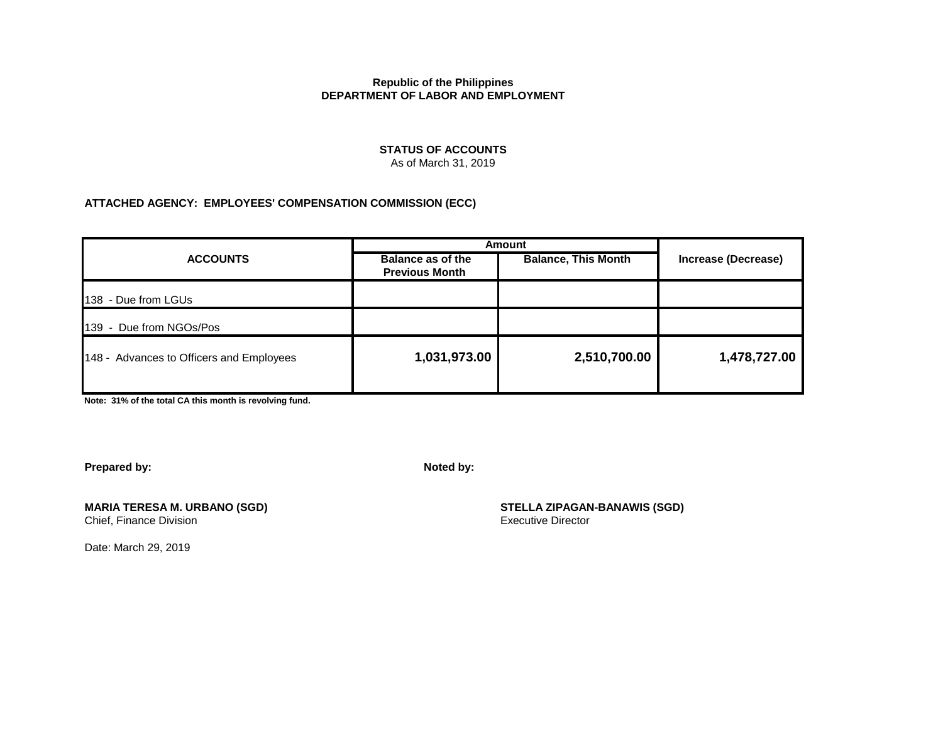#### **STATUS OF ACCOUNTS** As of March 31, 2019

### **ATTACHED AGENCY: EMPLOYEES' COMPENSATION COMMISSION (ECC)**

|                                          | Amount                                     |                            |                     |  |
|------------------------------------------|--------------------------------------------|----------------------------|---------------------|--|
| <b>ACCOUNTS</b>                          | Balance as of the<br><b>Previous Month</b> | <b>Balance, This Month</b> | Increase (Decrease) |  |
| 138 - Due from LGUs                      |                                            |                            |                     |  |
| 139 - Due from NGOs/Pos                  |                                            |                            |                     |  |
| 148 - Advances to Officers and Employees | 1,031,973.00                               | 2,510,700.00               | 1,478,727.00        |  |

**Note: 31% of the total CA this month is revolving fund.**

**Prepared by: Noted by:**

**MARIA TERESA M. URBANO (SGD) STELLA ZIPAGAN-BANAWIS (SGD)**

Date: March 29, 2019

Chief, Finance Division **Executive Director** Executive Director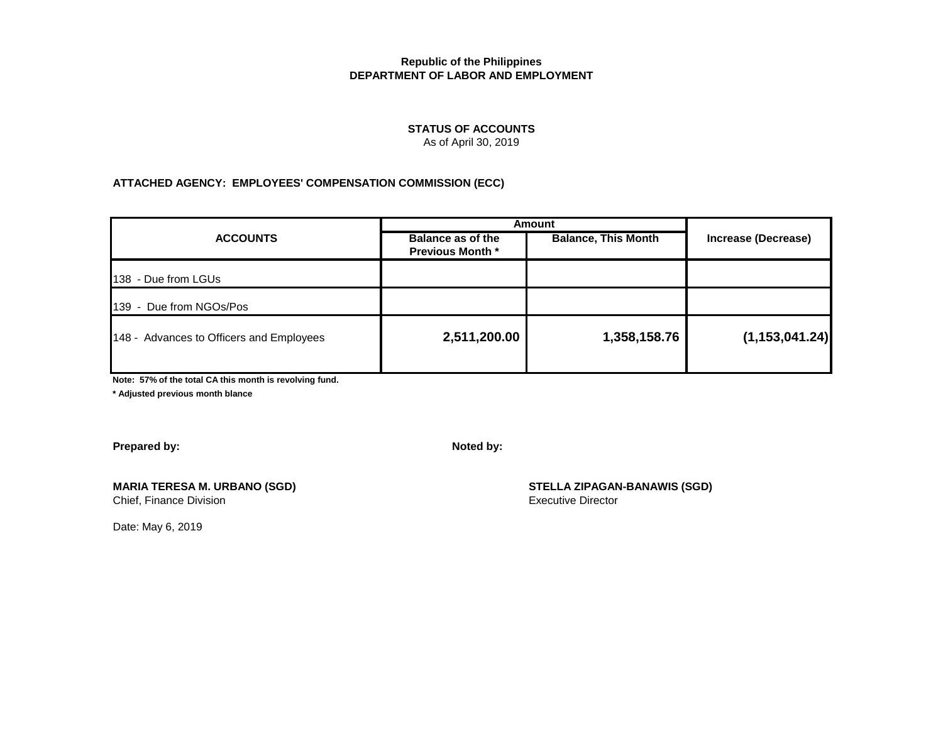#### **STATUS OF ACCOUNTS**

As of April 30, 2019

#### **ATTACHED AGENCY: EMPLOYEES' COMPENSATION COMMISSION (ECC)**

| <b>ACCOUNTS</b>                          | Amount                                       |                            |                     |  |
|------------------------------------------|----------------------------------------------|----------------------------|---------------------|--|
|                                          | Balance as of the<br><b>Previous Month *</b> | <b>Balance, This Month</b> | Increase (Decrease) |  |
| 138 - Due from LGUs                      |                                              |                            |                     |  |
| 139 - Due from NGOs/Pos                  |                                              |                            |                     |  |
| 148 - Advances to Officers and Employees | 2,511,200.00                                 | 1,358,158.76               | (1, 153, 041.24)    |  |

**Note: 57% of the total CA this month is revolving fund.**

**\* Adjusted previous month blance**

**Prepared by:** Noted by:

**MARIA TERESA M. URBANO (SGD) STELLA ZIPAGAN-BANAWIS (SGD)**

Chief, Finance Division **Executive Director** Executive Director

Date: May 6, 2019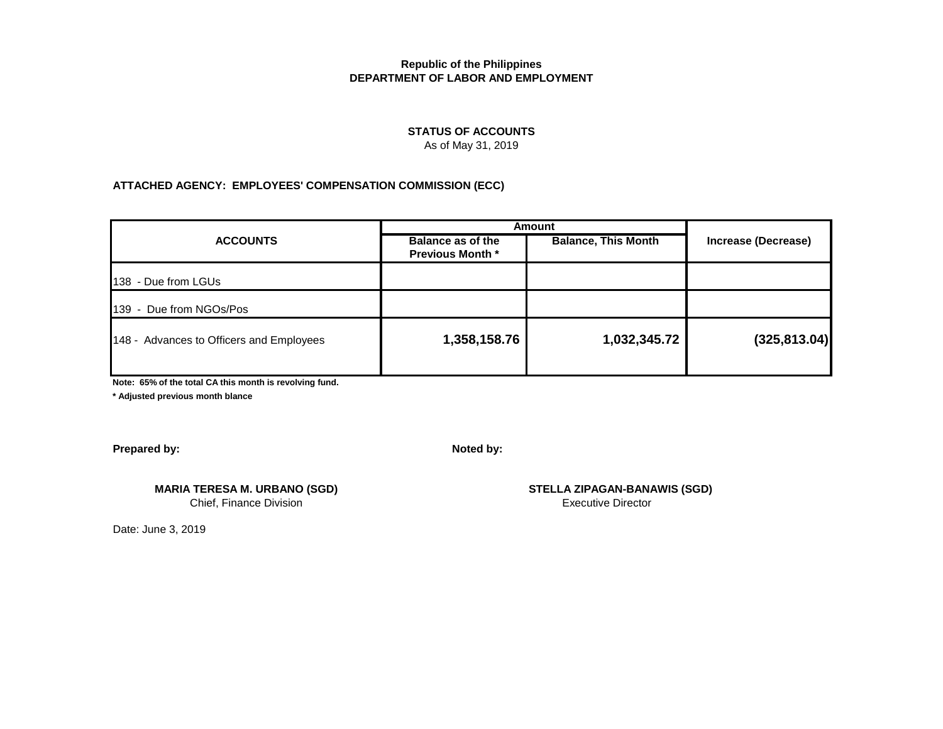## **STATUS OF ACCOUNTS**

As of May 31, 2019

### **ATTACHED AGENCY: EMPLOYEES' COMPENSATION COMMISSION (ECC)**

| <b>ACCOUNTS</b>                          | Amount                                       |                            |                     |  |
|------------------------------------------|----------------------------------------------|----------------------------|---------------------|--|
|                                          | Balance as of the<br><b>Previous Month *</b> | <b>Balance, This Month</b> | Increase (Decrease) |  |
| 138 - Due from LGUs                      |                                              |                            |                     |  |
| 139 - Due from NGOs/Pos                  |                                              |                            |                     |  |
| 148 - Advances to Officers and Employees | 1,358,158.76                                 | 1,032,345.72               | (325, 813.04)       |  |
|                                          |                                              |                            |                     |  |

**Note: 65% of the total CA this month is revolving fund.**

**\* Adjusted previous month blance**

**Prepared by:** Noted by:

**MARIA TERESA M. URBANO (SGD) STELLA ZIPAGAN-BANAWIS (SGD)** Chief, Finance Division **Executive Director** 

Date: June 3, 2019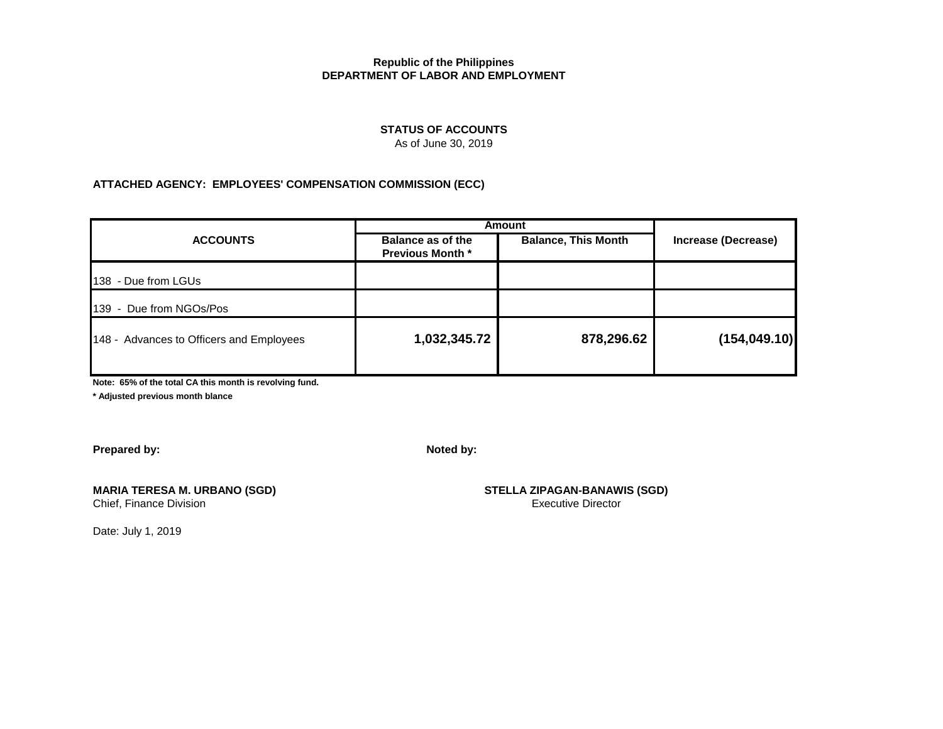### **STATUS OF ACCOUNTS**

As of June 30, 2019

## **ATTACHED AGENCY: EMPLOYEES' COMPENSATION COMMISSION (ECC)**

| Balance as of the<br><b>Previous Month *</b> | <b>Balance, This Month</b> | Increase (Decrease) |  |
|----------------------------------------------|----------------------------|---------------------|--|
|                                              |                            |                     |  |
|                                              |                            |                     |  |
|                                              | 878,296.62                 | (154, 049.10)       |  |
|                                              |                            | 1,032,345.72        |  |

**Note: 65% of the total CA this month is revolving fund.**

**\* Adjusted previous month blance**

**Prepared by: Noted by:**

# **MARIA TERESA M. URBANO (SGD) STELLA ZIPAGAN-BANAWIS (SGD)**

Chief, Finance Division **Executive Director** Executive Director

Date: July 1, 2019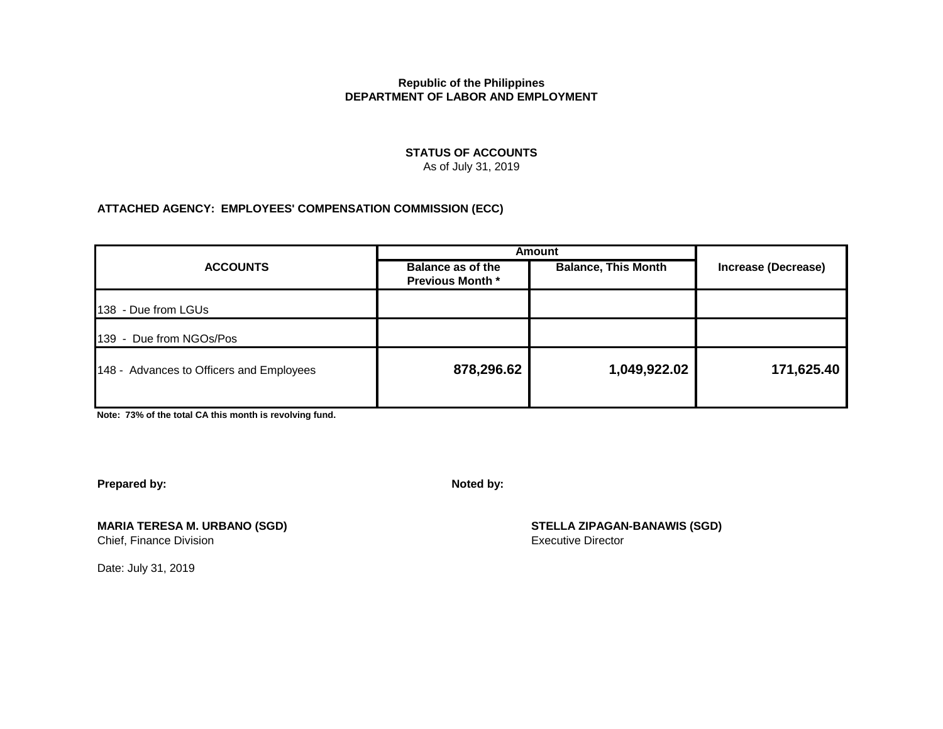### **STATUS OF ACCOUNTS** As of July 31, 2019

## **ATTACHED AGENCY: EMPLOYEES' COMPENSATION COMMISSION (ECC)**

|                                          | <b>Amount</b>                                       |                            |                     |
|------------------------------------------|-----------------------------------------------------|----------------------------|---------------------|
| <b>ACCOUNTS</b>                          | <b>Balance as of the</b><br><b>Previous Month *</b> | <b>Balance, This Month</b> | Increase (Decrease) |
| 138<br>- Due from LGUs                   |                                                     |                            |                     |
| 139<br>- Due from NGOs/Pos               |                                                     |                            |                     |
| 148 - Advances to Officers and Employees | 878,296.62                                          | 1,049,922.02               | 171,625.40          |
|                                          |                                                     |                            |                     |

**Note: 73% of the total CA this month is revolving fund.**

**Prepared by:** Noted by:

**MARIA TERESA M. URBANO (SGD) STELLA ZIPAGAN-BANAWIS (SGD)** Chief, Finance Division **Executive Director** Executive Director

Date: July 31, 2019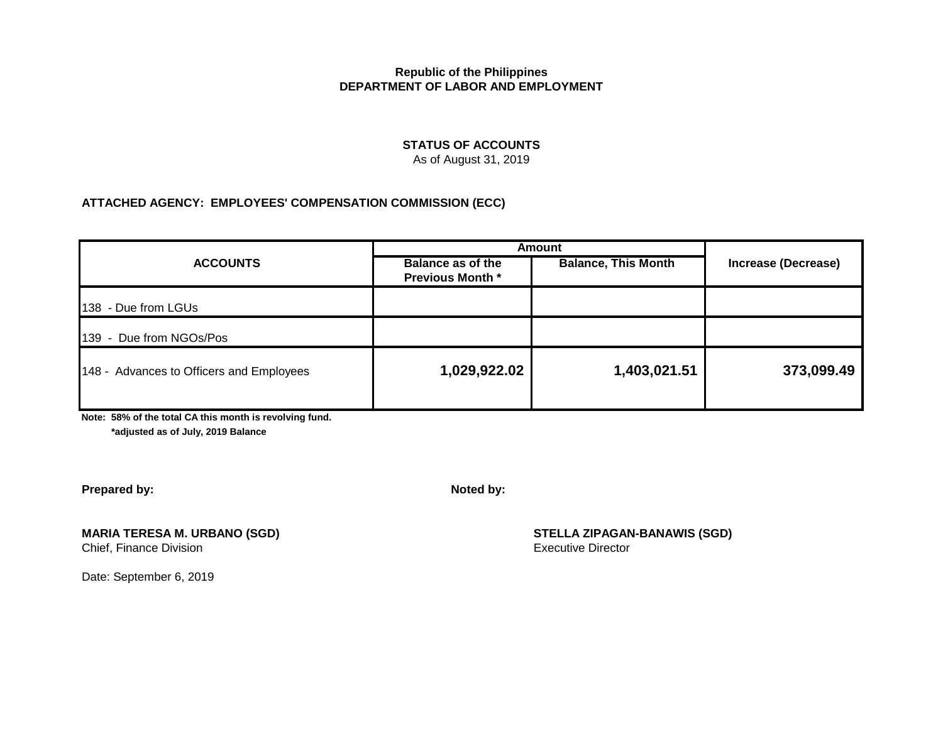## **STATUS OF ACCOUNTS**

As of August 31, 2019

## **ATTACHED AGENCY: EMPLOYEES' COMPENSATION COMMISSION (ECC)**

| <b>ACCOUNTS</b>                          | <b>Amount</b>                                |                            |                            |  |
|------------------------------------------|----------------------------------------------|----------------------------|----------------------------|--|
|                                          | Balance as of the<br><b>Previous Month *</b> | <b>Balance, This Month</b> | <b>Increase (Decrease)</b> |  |
| 138 - Due from LGUs                      |                                              |                            |                            |  |
| - Due from NGOs/Pos<br>139               |                                              |                            |                            |  |
| 148 - Advances to Officers and Employees | 1,029,922.02                                 | 1,403,021.51               | 373,099.49                 |  |

**Note: 58% of the total CA this month is revolving fund.**

 **\*adjusted as of July, 2019 Balance**

**Prepared by:** Noted by:

Chief, Finance Division

Date: September 6, 2019

**MARIA TERESA M. URBANO (SGD) STELLA ZIPAGAN-BANAWIS (SGD)**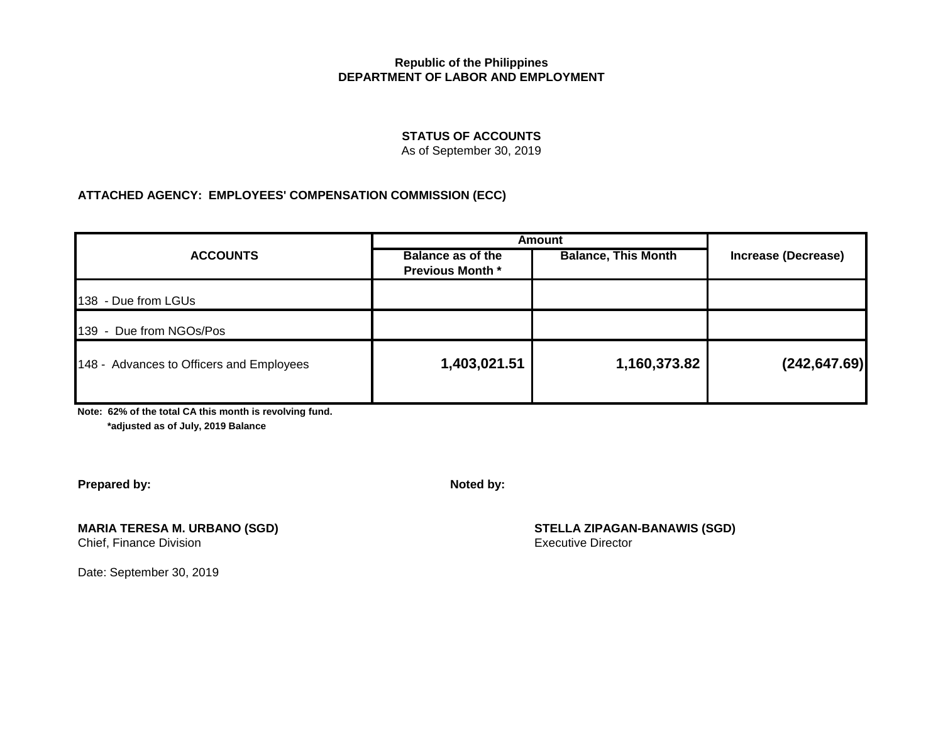# **STATUS OF ACCOUNTS**

As of September 30, 2019

## **ATTACHED AGENCY: EMPLOYEES' COMPENSATION COMMISSION (ECC)**

| <b>ACCOUNTS</b>                          | <b>Amount</b>                                       |                            |                     |  |
|------------------------------------------|-----------------------------------------------------|----------------------------|---------------------|--|
|                                          | <b>Balance as of the</b><br><b>Previous Month *</b> | <b>Balance, This Month</b> | Increase (Decrease) |  |
| 138 - Due from LGUs                      |                                                     |                            |                     |  |
| 139 - Due from NGOs/Pos                  |                                                     |                            |                     |  |
| 148 - Advances to Officers and Employees | 1,403,021.51                                        | 1,160,373.82               | (242, 647.69)       |  |

**Note: 62% of the total CA this month is revolving fund.**

 **\*adjusted as of July, 2019 Balance**

**Prepared by:** Noted by:

**MARIA TERESA M. URBANO (SGD) STELLA ZIPAGAN-BANAWIS (SGD)**

Date: September 30, 2019

Chief, Finance Division **Executive Director** Chief, Finance Division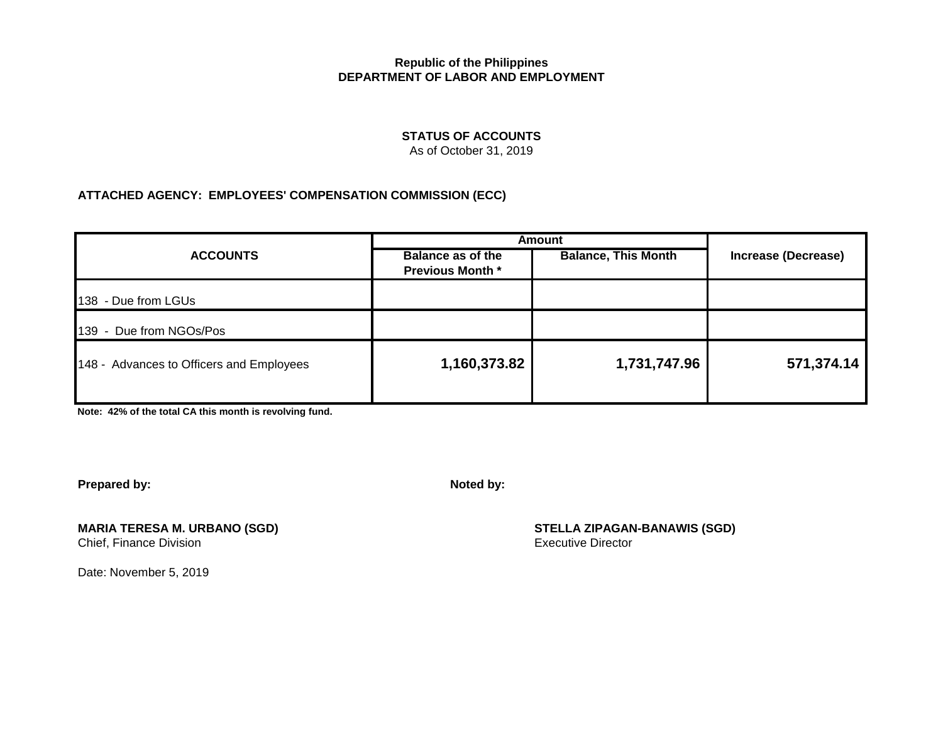# **STATUS OF ACCOUNTS**

As of October 31, 2019

# **ATTACHED AGENCY: EMPLOYEES' COMPENSATION COMMISSION (ECC)**

|                                          | <b>Amount</b>                                |                            |                     |  |
|------------------------------------------|----------------------------------------------|----------------------------|---------------------|--|
| <b>ACCOUNTS</b>                          | Balance as of the<br><b>Previous Month *</b> | <b>Balance, This Month</b> | Increase (Decrease) |  |
| 138 - Due from LGUs                      |                                              |                            |                     |  |
| 139 - Due from NGOs/Pos                  |                                              |                            |                     |  |
| 148 - Advances to Officers and Employees | 1,160,373.82                                 | 1,731,747.96               | 571,374.14          |  |

**Note: 42% of the total CA this month is revolving fund.**

**Prepared by:** Noted by:

**MARIA TERESA M. URBANO (SGD) STELLA ZIPAGAN-BANAWIS (SGD)** Chief, Finance Division **Executive Director** Executive Director

Date: November 5, 2019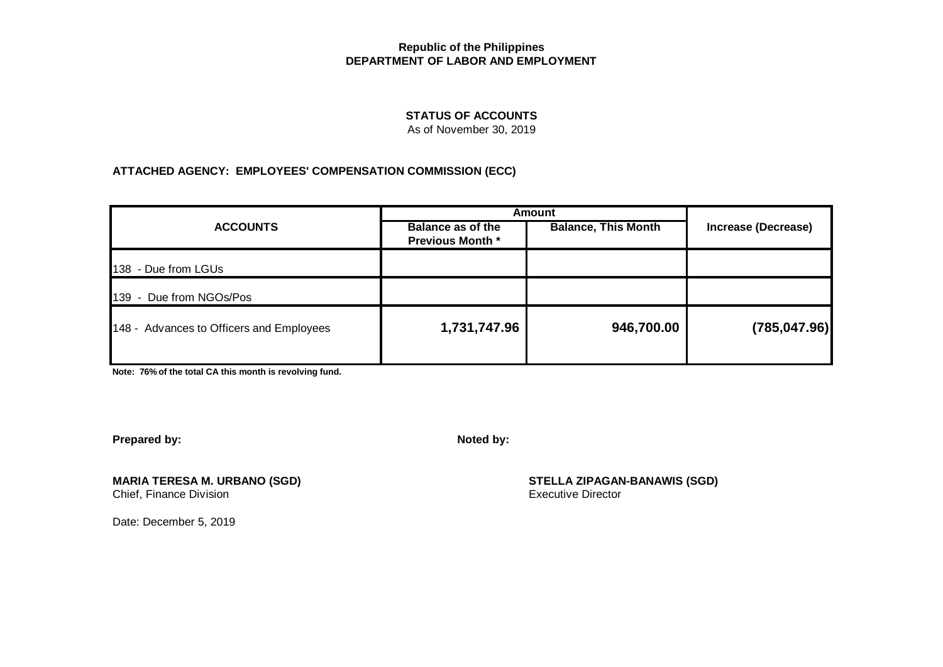## **STATUS OF ACCOUNTS**

As of November 30, 2019

## **ATTACHED AGENCY: EMPLOYEES' COMPENSATION COMMISSION (ECC)**

| <b>ACCOUNTS</b>                          | <b>Amount</b>                                       |                            |                     |  |
|------------------------------------------|-----------------------------------------------------|----------------------------|---------------------|--|
|                                          | <b>Balance as of the</b><br><b>Previous Month *</b> | <b>Balance, This Month</b> | Increase (Decrease) |  |
| 138 - Due from LGUs                      |                                                     |                            |                     |  |
| 139 - Due from NGOs/Pos                  |                                                     |                            |                     |  |
| 148 - Advances to Officers and Employees | 1,731,747.96                                        | 946,700.00                 | (785, 047.96)       |  |
|                                          |                                                     |                            |                     |  |

**Note: 76% of the total CA this month is revolving fund.**

**Prepared by:** Noted by:

Chief, Finance Division

**MARIA TERESA M. URBANO (SGD) STELLA ZIPAGAN-BANAWIS (SGD)**

Date: December 5, 2019